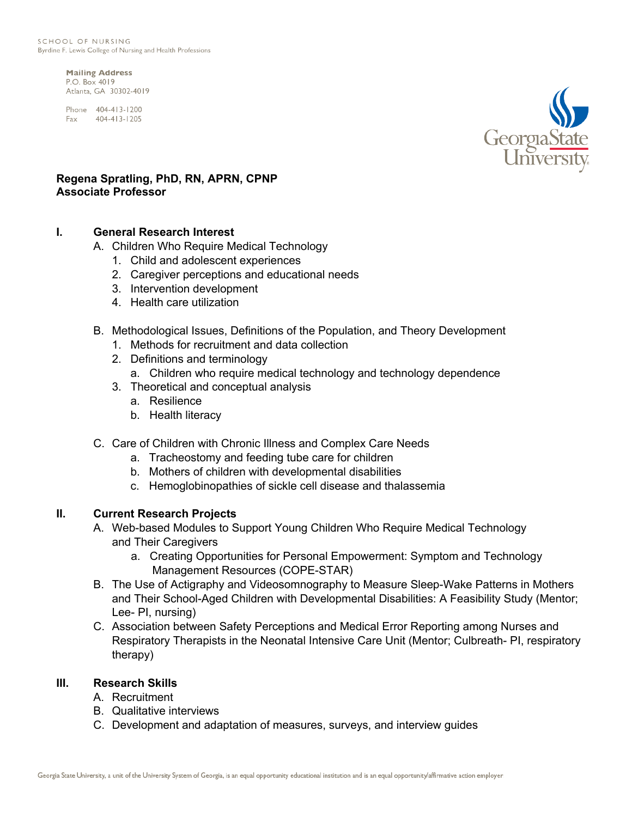**Mailing Address** P.O. Box 4019 Atlanta, GA 30302-4019

Phone 404-413-1200 Fax 404-413-1205



## **Regena Spratling, PhD, RN, APRN, CPNP Associate Professor**

## **I. General Research Interest**

- A. Children Who Require Medical Technology
	- 1. Child and adolescent experiences
	- 2. Caregiver perceptions and educational needs
	- 3. Intervention development
	- 4. Health care utilization
- B. Methodological Issues, Definitions of the Population, and Theory Development
	- 1. Methods for recruitment and data collection
	- 2. Definitions and terminology
	- a. Children who require medical technology and technology dependence
	- 3. Theoretical and conceptual analysis
		- a. Resilience
		- b. Health literacy
- C. Care of Children with Chronic Illness and Complex Care Needs
	- a. Tracheostomy and feeding tube care for children
	- b. Mothers of children with developmental disabilities
	- c. Hemoglobinopathies of sickle cell disease and thalassemia

## **II. Current Research Projects**

- A. Web-based Modules to Support Young Children Who Require Medical Technology and Their Caregivers
	- a. Creating Opportunities for Personal Empowerment: Symptom and Technology Management Resources (COPE-STAR)
- B. The Use of Actigraphy and Videosomnography to Measure Sleep-Wake Patterns in Mothers and Their School-Aged Children with Developmental Disabilities: A Feasibility Study (Mentor; Lee- PI, nursing)
- C. Association between Safety Perceptions and Medical Error Reporting among Nurses and Respiratory Therapists in the Neonatal Intensive Care Unit (Mentor; Culbreath- PI, respiratory therapy)

## **III. Research Skills**

- A. Recruitment
- B. Qualitative interviews
- C. Development and adaptation of measures, surveys, and interview guides